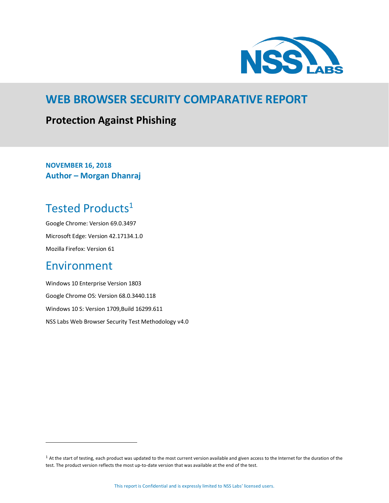

### **WEB BROWSER SECURITY COMPARATIVE REPORT**

### **Protection Against Phishing**

**NOVEMBER 16, 2018 Author – Morgan Dhanraj**

# <span id="page-0-0"></span>Tested Products<sup>1</sup>

Google Chrome: Version 69.0.3497 Microsoft Edge: Version 42.17134.1.0 Mozilla Firefox: Version 61

### <span id="page-0-1"></span>Environment

 $\overline{a}$ 

Windows 10 Enterprise Version 1803 Google Chrome OS: Version 68.0.3440.118 Windows 10 S: Version 1709,Build 16299.611 NSS Labs Web Browser Security Test Methodology v4.0

<sup>&</sup>lt;sup>1</sup> At the start of testing, each product was updated to the most current version available and given access to the Internet for the duration of the test. The product version reflects the most up-to-date version that was available at the end of the test.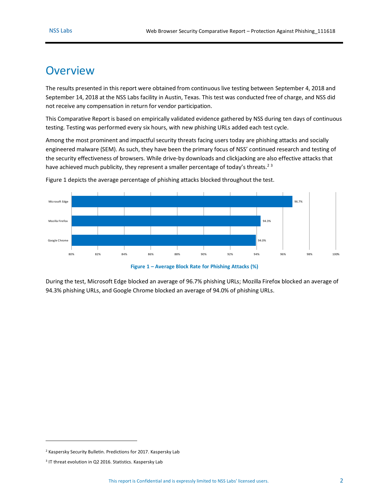### <span id="page-1-1"></span>**Overview**

The results presented in this report were obtained from continuous live testing between September 4, 2018 and September 14, 2018 at the NSS Labs facility in Austin, Texas. This test was conducted free of charge, and NSS did not receive any compensation in return for vendor participation.

This Comparative Report is based on empirically validated evidence gathered by NSS during ten days of continuous testing. Testing was performed every six hours, with new phishing URLs added each test cycle.

Among the most prominent and impactful security threats facing users today are phishing attacks and socially engineered malware (SEM). As such, they have been the primary focus of NSS' continued research and testing of the security effectiveness of browsers. While drive-by downloads and clickjacking are also effective attacks that have achieved much publicity, they represent a smaller percentage of today's threats.<sup>23</sup>



[Figure 1](#page-1-0) depicts the average percentage of phishing attacks blocked throughout the test.

**Figure 1 – Average Block Rate for Phishing Attacks (%)**

<span id="page-1-0"></span>During the test, Microsoft Edge blocked an average of 96.7% phishing URLs; Mozilla Firefox blocked an average of 94.3% phishing URLs, and Google Chrome blocked an average of 94.0% of phishing URLs.

 $\overline{a}$ 

<sup>2</sup> [Kaspersky Security Bulletin. Predictions for 2017.](https://securelist.com/kaspersky-security-bulletin-predictions-for-2017/76660/) Kaspersky Lab

<sup>&</sup>lt;sup>3</sup> [IT threat evolution in Q2 2016. Statistics. Kaspersky Lab](https://securelist.com/analysis/quarterly-malware-reports/75640/it-threat-evolution-in-q2-2016-statistics/)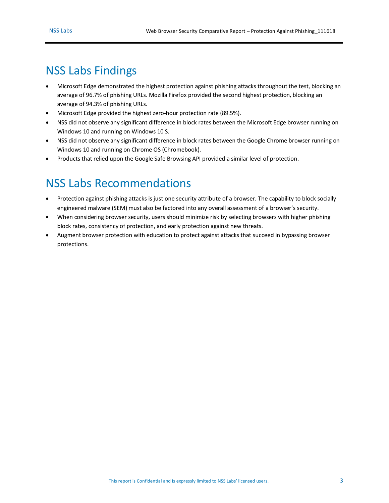# <span id="page-2-0"></span>NSS Labs Findings

- Microsoft Edge demonstrated the highest protection against phishing attacks throughout the test, blocking an average of 96.7% of phishing URLs. Mozilla Firefox provided the second highest protection, blocking an average of 94.3% of phishing URLs.
- Microsoft Edge provided the highest zero-hour protection rate (89.5%).
- NSS did not observe any significant difference in block rates between the Microsoft Edge browser running on Windows 10 and running on Windows 10 S.
- NSS did not observe any significant difference in block rates between the Google Chrome browser running on Windows 10 and running on Chrome OS (Chromebook).
- Products that relied upon the Google Safe Browsing API provided a similar level of protection.

## <span id="page-2-1"></span>NSS Labs Recommendations

- Protection against phishing attacks is just one security attribute of a browser. The capability to block socially engineered malware (SEM) must also be factored into any overall assessment of a browser's security.
- When considering browser security, users should minimize risk by selecting browsers with higher phishing block rates, consistency of protection, and early protection against new threats.
- Augment browser protection with education to protect against attacks that succeed in bypassing browser protections.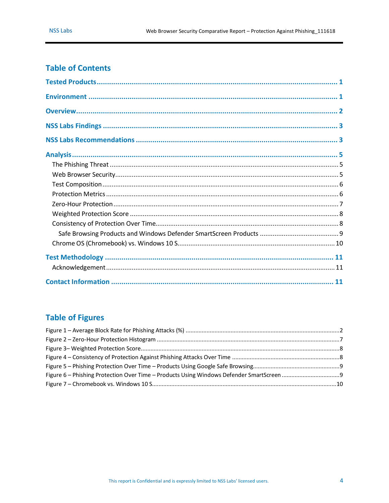### **Table of Contents**

### **Table of Figures**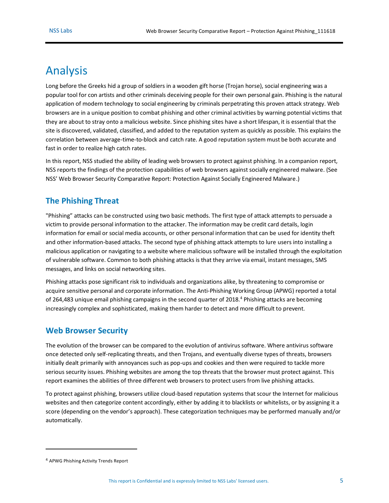### <span id="page-4-0"></span>Analysis

Long before the Greeks hid a group of soldiers in a wooden gift horse (Trojan horse), social engineering was a popular tool for con artists and other criminals deceiving people for their own personal gain. Phishing is the natural application of modern technology to social engineering by criminals perpetrating this proven attack strategy. Web browsers are in a unique position to combat phishing and other criminal activities by warning potential victims that they are about to stray onto a malicious website. Since phishing sites have a short lifespan, it is essential that the site is discovered, validated, classified, and added to the reputation system as quickly as possible. This explains the correlation between average-time-to-block and catch rate. A good reputation system must be both accurate and fast in order to realize high catch rates.

In this report, NSS studied the ability of leading web browsers to protect against phishing. In a companion report, NSS reports the findings of the protection capabilities of web browsers against socially engineered malware. (See NSS' Web Browser Security Comparative Report: Protection Against Socially Engineered Malware.)

#### <span id="page-4-1"></span>**The Phishing Threat**

"Phishing" attacks can be constructed using two basic methods. The first type of attack attempts to persuade a victim to provide personal information to the attacker. The information may be credit card details, login information for email or social media accounts, or other personal information that can be used for identity theft and other information-based attacks. The second type of phishing attack attempts to lure users into installing a malicious application or navigating to a website where malicious software will be installed through the exploitation of vulnerable software. Common to both phishing attacks is that they arrive via email, instant messages, SMS messages, and links on social networking sites.

Phishing attacks pose significant risk to individuals and organizations alike, by threatening to compromise or acquire sensitive personal and corporate information. The Anti-Phishing Working Group (APWG) reported a total of 264,483 unique email phishing campaigns in the second quarter of 2018.<sup>4</sup> Phishing attacks are becoming increasingly complex and sophisticated, making them harder to detect and more difficult to prevent.

#### <span id="page-4-2"></span>**Web Browser Security**

The evolution of the browser can be compared to the evolution of antivirus software. Where antivirus software once detected only self-replicating threats, and then Trojans, and eventually diverse types of threats, browsers initially dealt primarily with annoyances such as pop-ups and cookies and then were required to tackle more serious security issues. Phishing websites are among the top threats that the browser must protect against. This report examines the abilities of three different web browsers to protect users from live phishing attacks.

To protect against phishing, browsers utilize cloud-based reputation systems that scour the Internet for malicious websites and then categorize content accordingly, either by adding it to blacklists or whitelists, or by assigning it a score (depending on the vendor's approach). These categorization techniques may be performed manually and/or automatically.

 $\overline{a}$ 

<sup>4</sup> [APWG Phishing Activity Trends Report](http://docs.apwg.org/reports/apwg_trends_report_q2_2018.pdf)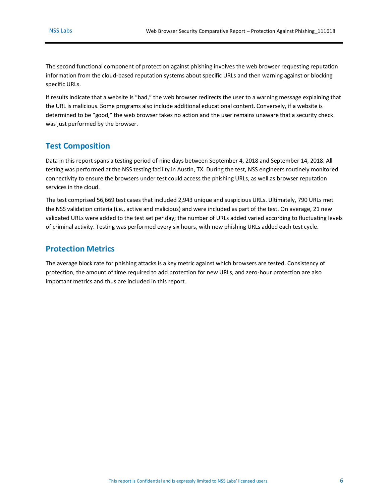The second functional component of protection against phishing involves the web browser requesting reputation information from the cloud-based reputation systems about specific URLs and then warning against or blocking specific URLs.

If results indicate that a website is "bad," the web browser redirects the user to a warning message explaining that the URL is malicious. Some programs also include additional educational content. Conversely, if a website is determined to be "good," the web browser takes no action and the user remains unaware that a security check was just performed by the browser.

#### <span id="page-5-0"></span>**Test Composition**

Data in this report spans a testing period of nine days between September 4, 2018 and September 14, 2018. All testing was performed at the NSS testing facility in Austin, TX. During the test, NSS engineers routinely monitored connectivity to ensure the browsers under test could access the phishing URLs, as well as browser reputation services in the cloud.

The test comprised 56,669 test cases that included 2,943 unique and suspicious URLs. Ultimately, 790 URLs met the NSS validation criteria (i.e., active and malicious) and were included as part of the test. On average, 21 new validated URLs were added to the test set per day; the number of URLs added varied according to fluctuating levels of criminal activity. Testing was performed every six hours, with new phishing URLs added each test cycle.

#### <span id="page-5-1"></span>**Protection Metrics**

The average block rate for phishing attacks is a key metric against which browsers are tested. Consistency of protection, the amount of time required to add protection for new URLs, and zero-hour protection are also important metrics and thus are included in this report.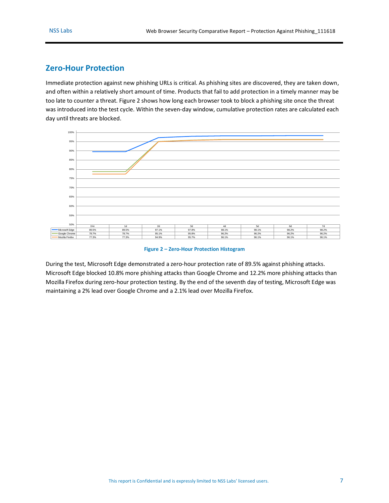#### <span id="page-6-0"></span>**Zero-Hour Protection**

Immediate protection against new phishing URLs is critical. As phishing sites are discovered, they are taken down, and often within a relatively short amount of time. Products that fail to add protection in a timely manner may be too late to counter a threat. [Figure 2](#page-6-1) shows how long each browser took to block a phishing site once the threat was introduced into the test cycle. Within the seven-day window, cumulative protection rates are calculated each day until threats are blocked.



**Figure 2 – Zero-Hour Protection Histogram**

<span id="page-6-1"></span>During the test, Microsoft Edge demonstrated a zero-hour protection rate of 89.5% against phishing attacks. Microsoft Edge blocked 10.8% more phishing attacks than Google Chrome and 12.2% more phishing attacks than Mozilla Firefox during zero-hour protection testing. By the end of the seventh day of testing, Microsoft Edge was maintaining a 2% lead over Google Chrome and a 2.1% lead over Mozilla Firefox.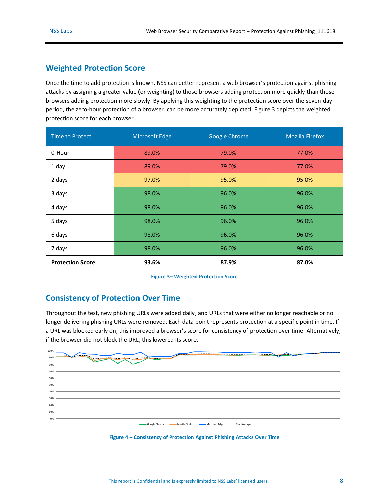### <span id="page-7-0"></span>**Weighted Protection Score**

Once the time to add protection is known, NSS can better represent a web browser's protection against phishing attacks by assigning a greater value (or weighting) to those browsers adding protection more quickly than those browsers adding protection more slowly. By applying this weighting to the protection score over the seven-day period, the zero-hour protection of a browser. can be more accurately depicted. [Figure 3](#page-7-2) depicts the weighted protection score for each browser.

| Time to Protect         | Microsoft Edge | Google Chrome | <b>Mozilla Firefox</b> |
|-------------------------|----------------|---------------|------------------------|
| 0-Hour                  | 89.0%          | 79.0%         | 77.0%                  |
| 1 day                   | 89.0%          | 79.0%         | 77.0%                  |
| 2 days                  | 97.0%          | 95.0%         | 95.0%                  |
| 3 days                  | 98.0%          | 96.0%         | 96.0%                  |
| 4 days                  | 98.0%          | 96.0%         | 96.0%                  |
| 5 days                  | 98.0%          | 96.0%         | 96.0%                  |
| 6 days                  | 98.0%          | 96.0%         | 96.0%                  |
| 7 days                  | 98.0%          | 96.0%         | 96.0%                  |
| <b>Protection Score</b> | 93.6%          | 87.9%         | 87.0%                  |

**Figure 3– Weighted Protection Score**

### <span id="page-7-2"></span><span id="page-7-1"></span>**Consistency of Protection Over Time**

Throughout the test, new phishing URLs were added daily, and URLs that were either no longer reachable or no longer delivering phishing URLs were removed. Each data point represents protection at a specific point in time. If a URL was blocked early on, this improved a browser's score for consistency of protection over time. Alternatively, if the browser did not block the URL, this lowered its score.

| 100%  | ------------------------<br>------                                                                                                                                                                                                   |
|-------|--------------------------------------------------------------------------------------------------------------------------------------------------------------------------------------------------------------------------------------|
| 90%   | <u> Albanya (Albanya Albanya Albanya) a Manazarta (Albanya Albanya Albanya Albanya Albanya Albanya Albanya (Albanya Albanya Albanya Albanya Albanya Albanya Albanya Albanya (Albanya Albanya Albanya Albanya Albanya Albanya Alb</u> |
| 80%   |                                                                                                                                                                                                                                      |
| 70%   |                                                                                                                                                                                                                                      |
| 60% - |                                                                                                                                                                                                                                      |
| 50%   |                                                                                                                                                                                                                                      |
| 40%   |                                                                                                                                                                                                                                      |
| 30%   |                                                                                                                                                                                                                                      |
| 20%   |                                                                                                                                                                                                                                      |
| 10%   |                                                                                                                                                                                                                                      |
| 0%    |                                                                                                                                                                                                                                      |
|       | Google Chrome Mozilla Firefox - Microsoft Edge -----Test Average                                                                                                                                                                     |
|       |                                                                                                                                                                                                                                      |

<span id="page-7-3"></span>**Figure 4 – Consistency of Protection Against Phishing Attacks Over Time**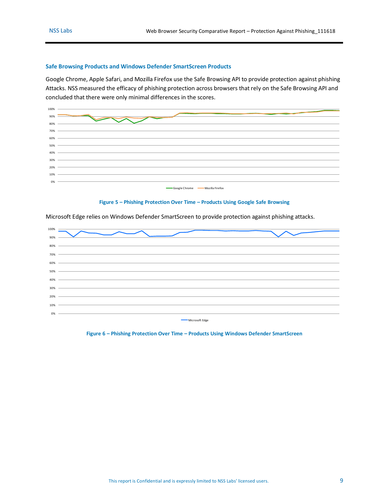#### <span id="page-8-0"></span>**Safe Browsing Products and Windows Defender SmartScreen Products**

Google Chrome, Apple Safari, and Mozilla Firefox use the Safe Browsing API to provide protection against phishing Attacks. NSS measured the efficacy of phishing protection across browsers that rely on the Safe Browsing API and concluded that there were only minimal differences in the scores.



**Figure 5 – Phishing Protection Over Time – Products Using Google Safe Browsing** 

<span id="page-8-1"></span>



<span id="page-8-2"></span>**Figure 6 – Phishing Protection Over Time – Products Using Windows Defender SmartScreen**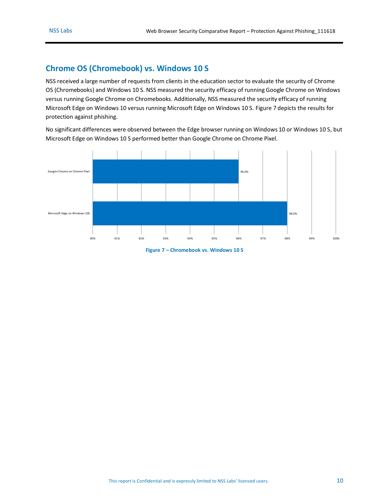### <span id="page-9-0"></span>**Chrome OS (Chromebook) vs. Windows 10 S**

NSS received a large number of requests from clients in the education sector to evaluate the security of Chrome OS (Chromebooks) and Windows 10 S. NSS measured the security efficacy of running Google Chrome on Windows versus running Google Chrome on Chromebooks. Additionally, NSS measured the security efficacy of running Microsoft Edge on Windows 10 versus running Microsoft Edge on Windows 10 S. [Figure 7](#page-9-1) depicts the results for protection against phishing.

No significant differences were observed between the Edge browser running on Windows 10 or Windows 10 S, but Microsoft Edge on Windows 10 S performed better than Google Chrome on Chrome Pixel.

<span id="page-9-1"></span>

**Figure 7 – Chromebook vs. Windows 10 S**